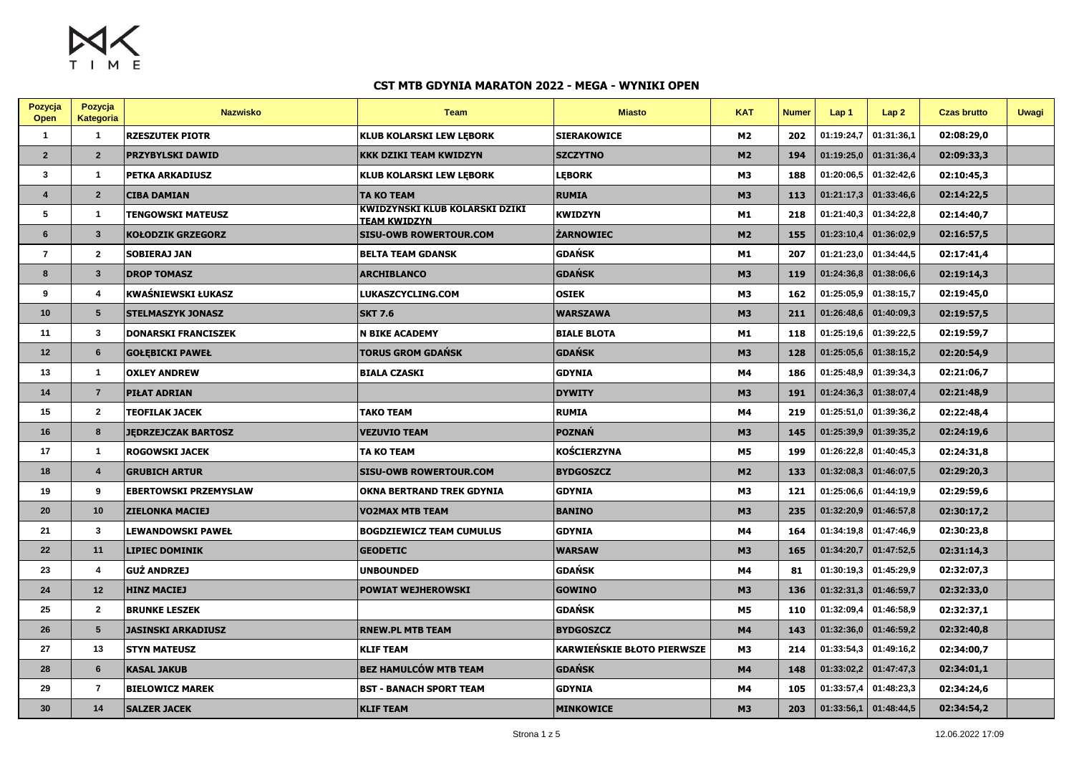$M<sub>2</sub>$ TIME

| Pozycja<br>Open | Pozycja<br>Kategoria    | <b>Nazwisko</b>              | <b>Team</b>                                                  | <b>Miasto</b>              | <b>KAT</b>     | <b>Numer</b> | Lap <sub>1</sub> | Lap2                    | <b>Czas brutto</b> | <b>Uwagi</b> |
|-----------------|-------------------------|------------------------------|--------------------------------------------------------------|----------------------------|----------------|--------------|------------------|-------------------------|--------------------|--------------|
| $\mathbf{1}$    | $\mathbf{1}$            | <b>RZESZUTEK PIOTR</b>       | <b>KLUB KOLARSKI LEW LEBORK</b>                              | <b>SIERAKOWICE</b>         | M2             | 202          | 01:19:24,7       | 01:31:36,1              | 02:08:29,0         |              |
| $\overline{2}$  | $\overline{2}$          | <b>PRZYBYLSKI DAWID</b>      | <b>KKK DZIKI TEAM KWIDZYN</b>                                | <b>SZCZYTNO</b>            | M <sub>2</sub> | 194          |                  | $01:19:25,0$ 01:31:36,4 | 02:09:33,3         |              |
| $\mathbf{3}$    | $\overline{1}$          | PETKA ARKADIUSZ              | <b>KLUB KOLARSKI LEW LEBORK</b>                              | <b>LEBORK</b>              | M <sub>3</sub> | 188          | 01:20:06,5       | 01:32:42,6              | 02:10:45,3         |              |
| $\overline{4}$  | $\overline{2}$          | <b>CIBA DAMIAN</b>           | <b>TA KO TEAM</b>                                            | <b>RUMIA</b>               | <b>M3</b>      | 113          | 01:21:17,3       | 01:33:46,6              | 02:14:22,5         |              |
| 5               | $\overline{1}$          | <b>TENGOWSKI MATEUSZ</b>     | <b>KWIDZYNSKI KLUB KOLARSKI DZIKI</b><br><b>TEAM KWIDZYN</b> | <b>KWIDZYN</b>             | M1             | 218          | 01:21:40,3       | 01:34:22,8              | 02:14:40,7         |              |
| 6               | $\mathbf{3}$            | <b>KOŁODZIK GRZEGORZ</b>     | <b>SISU-OWB ROWERTOUR.COM</b>                                | <b>ŻARNOWIEC</b>           | M <sub>2</sub> | 155          |                  | $01:23:10,4$ 01:36:02,9 | 02:16:57,5         |              |
| $\overline{7}$  | $\mathbf{2}$            | <b>SOBIERAJ JAN</b>          | <b>BELTA TEAM GDANSK</b>                                     | GDAŃSK                     | M1             | 207          | 01:21:23.0       | 01:34:44,5              | 02:17:41,4         |              |
| 8               | $\mathbf{3}$            | <b>DROP TOMASZ</b>           | <b>ARCHIBLANCO</b>                                           | <b>GDAŃSK</b>              | <b>M3</b>      | 119          | 01:24:36,8       | 01:38:06,6              | 02:19:14,3         |              |
| 9               | 4                       | KWAŚNIEWSKI ŁUKASZ           | LUKASZCYCLING.COM                                            | <b>OSIEK</b>               | M3             | 162          | 01:25:05,9       | 01:38:15,7              | 02:19:45,0         |              |
| 10              | 5                       | <b>STELMASZYK JONASZ</b>     | <b>SKT 7.6</b>                                               | <b>WARSZAWA</b>            | <b>M3</b>      | 211          | 01:26:48,6       | 01:40:09,3              | 02:19:57,5         |              |
| 11              | $\overline{\mathbf{3}}$ | <b>DONARSKI FRANCISZEK</b>   | <b>N BIKE ACADEMY</b>                                        | <b>BIALE BLOTA</b>         | M1             | 118          | 01:25:19.6       | 01:39:22,5              | 02:19:59,7         |              |
| 12              | 6                       | <b>GOŁĘBICKI PAWEŁ</b>       | <b>TORUS GROM GDAŃSK</b>                                     | <b>GDAŃSK</b>              | <b>M3</b>      | 128          | 01:25:05,6       | 01:38:15,2              | 02:20:54,9         |              |
| 13              | $\overline{1}$          | <b>OXLEY ANDREW</b>          | <b>BIALA CZASKI</b>                                          | <b>GDYNIA</b>              | M4             | 186          | 01:25:48,9       | 01:39:34,3              | 02:21:06,7         |              |
| 14              | $\overline{7}$          | PIŁAT ADRIAN                 |                                                              | <b>DYWITY</b>              | <b>M3</b>      | 191          | 01:24:36.3       | 01:38:07,4              | 02:21:48,9         |              |
| 15              | $\mathbf{2}$            | TEOFILAK JACEK               | <b>TAKO TEAM</b>                                             | <b>RUMIA</b>               | M4             | 219          | 01:25:51,0       | 01:39:36,2              | 02:22:48,4         |              |
| 16              | 8                       | <b>JEDRZEJCZAK BARTOSZ</b>   | <b>VEZUVIO TEAM</b>                                          | <b>POZNAŃ</b>              | <b>M3</b>      | 145          | 01:25:39,9       | 01:39:35,2              | 02:24:19,6         |              |
| 17              | $\overline{1}$          | <b>ROGOWSKI JACEK</b>        | <b>TA KO TEAM</b>                                            | KOŚCIERZYNA                | <b>M5</b>      | 199          | 01:26:22,8       | 01:40:45,3              | 02:24:31,8         |              |
| 18              | $\boldsymbol{4}$        | <b>GRUBICH ARTUR</b>         | <b>SISU-OWB ROWERTOUR.COM</b>                                | <b>BYDGOSZCZ</b>           | M <sub>2</sub> | 133          | 01:32:08,3       | 01:46:07,5              | 02:29:20,3         |              |
| 19              | 9                       | <b>EBERTOWSKI PRZEMYSLAW</b> | <b>OKNA BERTRAND TREK GDYNIA</b>                             | <b>GDYNIA</b>              | M3             | 121          | 01:25:06,6       | 01:44:19,9              | 02:29:59,6         |              |
| 20              | 10                      | <b>ZIELONKA MACIEJ</b>       | <b>VO2MAX MTB TEAM</b>                                       | <b>BANINO</b>              | <b>M3</b>      | 235          | 01:32:20,9       | 01:46:57,8              | 02:30:17,2         |              |
| 21              | $\mathbf{3}$            | LEWANDOWSKI PAWEŁ            | <b>BOGDZIEWICZ TEAM CUMULUS</b>                              | <b>GDYNIA</b>              | M4             | 164          | 01:34:19,8       | 01:47:46,9              | 02:30:23,8         |              |
| 22              | 11                      | <b>LIPIEC DOMINIK</b>        | <b>GEODETIC</b>                                              | <b>WARSAW</b>              | <b>M3</b>      | 165          | 01:34:20,7       | 01:47:52,5              | 02:31:14,3         |              |
| 23              | 4                       | <b>GUŻ ANDRZEJ</b>           | <b>UNBOUNDED</b>                                             | <b>GDAŃSK</b>              | M4             | 81           | 01:30:19,3       | 01:45:29,9              | 02:32:07,3         |              |
| 24              | 12                      | <b>HINZ MACIEJ</b>           | <b>POWIAT WEJHEROWSKI</b>                                    | <b>GOWINO</b>              | <b>M3</b>      | 136          | 01:32:31.3       | 01:46:59,7              | 02:32:33,0         |              |
| 25              | $\overline{2}$          | <b>BRUNKE LESZEK</b>         |                                                              | GDAŃSK                     | M5             | 110          | 01:32:09,4       | 01:46:58,9              | 02:32:37,1         |              |
| 26              | 5                       | <b>JASINSKI ARKADIUSZ</b>    | <b>RNEW.PL MTB TEAM</b>                                      | <b>BYDGOSZCZ</b>           | M4             | 143          | 01:32:36,0       | 01:46:59,2              | 02:32:40,8         |              |
| 27              | 13                      | <b>STYN MATEUSZ</b>          | <b>KLIF TEAM</b>                                             | KARWIEŃSKIE BŁOTO PIERWSZE | M <sub>3</sub> | 214          | 01:33:54,3       | 01:49:16,2              | 02:34:00,7         |              |
| 28              | 6                       | <b>KASAL JAKUB</b>           | <b>BEZ HAMULCÓW MTB TEAM</b>                                 | <b>GDAŃSK</b>              | M4             | 148          |                  | $01:33:02,2$ 01:47:47,3 | 02:34:01,1         |              |
| 29              | $\overline{7}$          | <b>BIELOWICZ MAREK</b>       | <b>BST - BANACH SPORT TEAM</b>                               | <b>GDYNIA</b>              | M4             | 105          | 01:33:57,4       | 01:48:23,3              | 02:34:24,6         |              |
| 30              | 14                      | <b>SALZER JACEK</b>          | <b>KLIF TEAM</b>                                             | <b>MINKOWICE</b>           | <b>M3</b>      | 203          | 01:33:56,1       | 01:48:44,5              | 02:34:54,2         |              |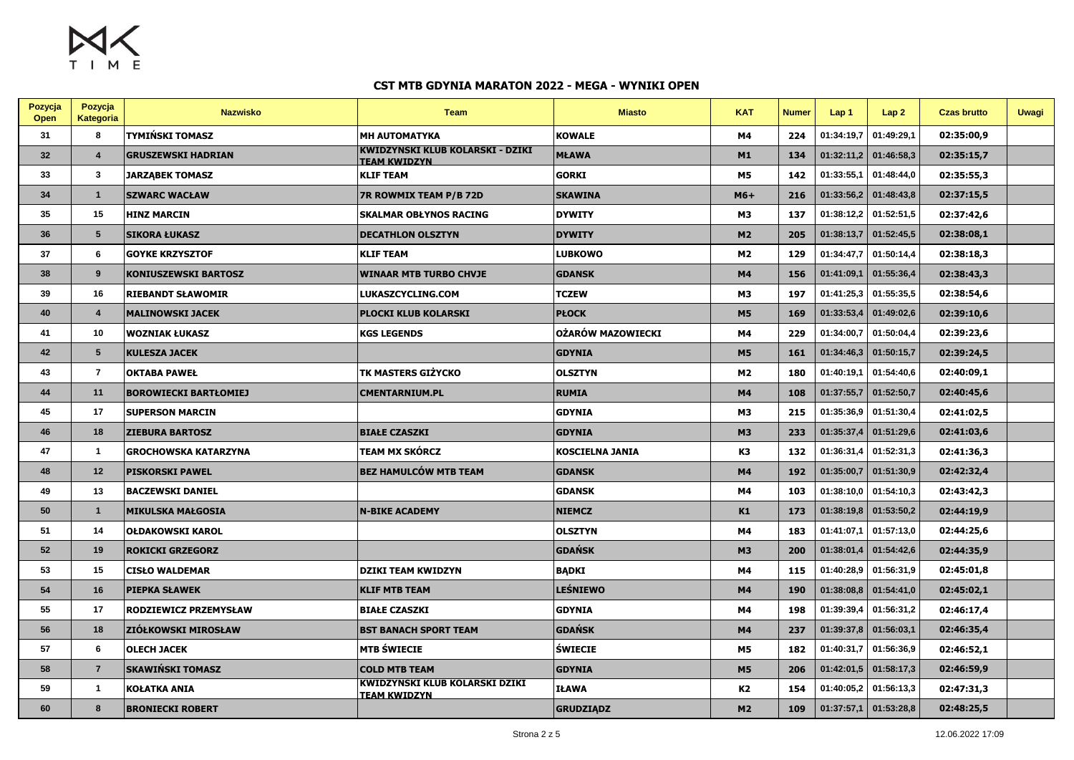$M_X$ 

| Pozycja<br>Open | Pozycja<br>Kategoria | <b>Nazwisko</b>              | <b>Team</b>                                                    | <b>Miasto</b>     | <b>KAT</b>     | <b>Numer</b> | Lap 1      | Lap2       | <b>Czas brutto</b> | <b>Uwagi</b> |
|-----------------|----------------------|------------------------------|----------------------------------------------------------------|-------------------|----------------|--------------|------------|------------|--------------------|--------------|
| 31              | 8                    | TYMIŃSKI TOMASZ              | <b>MH AUTOMATYKA</b>                                           | <b>KOWALE</b>     | M4             | 224          | 01:34:19.7 | 01:49:29.1 | 02:35:00.9         |              |
| 32              | $\overline{4}$       | <b>GRUSZEWSKI HADRIAN</b>    | <b>KWIDZYNSKI KLUB KOLARSKI - DZIKI</b><br><b>TEAM KWIDZYN</b> | <b>MŁAWA</b>      | M1             | 134          | 01:32:11,2 | 01:46:58,3 | 02:35:15,7         |              |
| 33              | $\mathbf{3}$         | <b>JARZĄBEK TOMASZ</b>       | <b>KLIF TEAM</b>                                               | <b>GORKI</b>      | <b>M5</b>      | 142          | 01:33:55.1 | 01:48:44.0 | 02:35:55,3         |              |
| 34              | $\overline{1}$       | <b>SZWARC WACŁAW</b>         | <b>7R ROWMIX TEAM P/B 72D</b>                                  | <b>SKAWINA</b>    | $M6+$          | 216          | 01:33:56,2 | 01:48:43,8 | 02:37:15,5         |              |
| 35              | 15                   | <b>HINZ MARCIN</b>           | <b>SKALMAR OBŁYNOS RACING</b>                                  | <b>DYWITY</b>     | M3             | 137          | 01:38:12,2 | 01:52:51,5 | 02:37:42,6         |              |
| 36              | 5                    | <b>SIKORA ŁUKASZ</b>         | <b>DECATHLON OLSZTYN</b>                                       | <b>DYWITY</b>     | M <sub>2</sub> | 205          | 01:38:13,7 | 01:52:45.5 | 02:38:08,1         |              |
| 37              | 6                    | <b>GOYKE KRZYSZTOF</b>       | <b>KLIF TEAM</b>                                               | <b>LUBKOWO</b>    | M2             | 129          | 01:34:47,7 | 01:50:14,4 | 02:38:18,3         |              |
| 38              | 9                    | KONIUSZEWSKI BARTOSZ         | <b>WINAAR MTB TURBO CHVJE</b>                                  | <b>GDANSK</b>     | <b>M4</b>      | 156          | 01:41:09,1 | 01:55:36,4 | 02:38:43,3         |              |
| 39              | 16                   | <b>RIEBANDT SŁAWOMIR</b>     | LUKASZCYCLING.COM                                              | <b>TCZEW</b>      | M <sub>3</sub> | 197          | 01:41:25,3 | 01:55:35,5 | 02:38:54,6         |              |
| 40              | $\overline{4}$       | <b>MALINOWSKI JACEK</b>      | <b>PLOCKI KLUB KOLARSKI</b>                                    | <b>PŁOCK</b>      | <b>M5</b>      | 169          | 01:33:53,4 | 01:49:02,6 | 02:39:10,6         |              |
| 41              | 10                   | <b>WOZNIAK ŁUKASZ</b>        | <b>KGS LEGENDS</b>                                             | OŻARÓW MAZOWIECKI | M4             | 229          | 01:34:00,7 | 01:50:04,4 | 02:39:23,6         |              |
| 42              | $5\phantom{.0}$      | <b>KULESZA JACEK</b>         |                                                                | <b>GDYNIA</b>     | <b>M5</b>      | 161          | 01:34:46,3 | 01:50:15,7 | 02:39:24,5         |              |
| 43              | $\overline{7}$       | <b>OKTABA PAWEŁ</b>          | TK MASTERS GIŻYCKO                                             | OLSZTYN           | M <sub>2</sub> | 180          | 01:40:19,1 | 01:54:40,6 | 02:40:09,1         |              |
| 44              | 11                   | <b>BOROWIECKI BARTŁOMIEJ</b> | <b>CMENTARNIUM.PL</b>                                          | <b>RUMIA</b>      | M4             | 108          | 01:37:55,7 | 01:52:50,7 | 02:40:45,6         |              |
| 45              | 17                   | <b>SUPERSON MARCIN</b>       |                                                                | <b>GDYNIA</b>     | M <sub>3</sub> | 215          | 01:35:36,9 | 01:51:30,4 | 02:41:02,5         |              |
| 46              | 18                   | <b>ZIEBURA BARTOSZ</b>       | <b>BIAŁE CZASZKI</b>                                           | <b>GDYNIA</b>     | <b>M3</b>      | 233          | 01:35:37,4 | 01:51:29.6 | 02:41:03,6         |              |
| 47              | $\overline{1}$       | <b>GROCHOWSKA KATARZYNA</b>  | TEAM MX SKÓRCZ                                                 | KOSCIELNA JANIA   | K3             | 132          | 01:36:31.4 | 01:52:31,3 | 02:41:36,3         |              |
| 48              | 12                   | <b>PISKORSKI PAWEL</b>       | <b>BEZ HAMULCÓW MTB TEAM</b>                                   | <b>GDANSK</b>     | M4             | 192          | 01:35:00,7 | 01:51:30,9 | 02:42:32,4         |              |
| 49              | 13                   | <b>BACZEWSKI DANIEL</b>      |                                                                | <b>GDANSK</b>     | Μ4             | 103          | 01:38:10,0 | 01:54:10,3 | 02:43:42,3         |              |
| 50              | $\overline{1}$       | <b>MIKULSKA MAŁGOSIA</b>     | <b>N-BIKE ACADEMY</b>                                          | <b>NIEMCZ</b>     | K1             | 173          | 01:38:19,8 | 01:53:50,2 | 02:44:19,9         |              |
| 51              | 14                   | <b>OŁDAKOWSKI KAROL</b>      |                                                                | OLSZTYN           | Μ4             | 183          | 01:41:07,1 | 01:57:13,0 | 02:44:25,6         |              |
| 52              | 19                   | <b>ROKICKI GRZEGORZ</b>      |                                                                | <b>GDAŃSK</b>     | <b>M3</b>      | 200          | 01:38:01,4 | 01:54:42,6 | 02:44:35,9         |              |
| 53              | 15                   | <b>CISŁO WALDEMAR</b>        | <b>DZIKI TEAM KWIDZYN</b>                                      | <b>BADKI</b>      | M4             | 115          | 01:40:28.9 | 01:56:31,9 | 02:45:01,8         |              |
| 54              | 16                   | <b>PIEPKA SŁAWEK</b>         | <b>KLIF MTB TEAM</b>                                           | LEŚNIEWO          | M4             | 190          | 01:38:08,8 | 01:54:41,0 | 02:45:02,1         |              |
| 55              | 17                   | RODZIEWICZ PRZEMYSŁAW        | <b>BIAŁE CZASZKI</b>                                           | <b>GDYNIA</b>     | M4             | 198          | 01:39:39.4 | 01:56:31,2 | 02:46:17,4         |              |
| 56              | 18                   | <b>ZIÓŁKOWSKI MIROSŁAW</b>   | <b>BST BANACH SPORT TEAM</b>                                   | <b>GDAŃSK</b>     | M4             | 237          | 01:39:37,8 | 01:56:03,1 | 02:46:35,4         |              |
| 57              | 6                    | <b>OLECH JACEK</b>           | <b>MTB ŚWIECIE</b>                                             | <b>ŚWIECIE</b>    | M5             | 182          | 01:40:31,7 | 01:56:36,9 | 02:46:52,1         |              |
| 58              | $\overline{7}$       | <b>SKAWIŃSKI TOMASZ</b>      | <b>COLD MTB TEAM</b>                                           | <b>GDYNIA</b>     | <b>M5</b>      | 206          | 01:42:01,5 | 01:58:17,3 | 02:46:59,9         |              |
| 59              | $\overline{1}$       | KOŁATKA ANIA                 | <b>KWIDZYNSKI KLUB KOLARSKI DZIKI</b><br><b>TEAM KWIDZYN</b>   | IŁAWA             | K2             | 154          | 01:40:05.2 | 01:56:13,3 | 02:47:31,3         |              |
| 60              | 8                    | <b>BRONIECKI ROBERT</b>      |                                                                | <b>GRUDZIĄDZ</b>  | M <sub>2</sub> | 109          | 01:37:57,1 | 01:53:28,8 | 02:48:25,5         |              |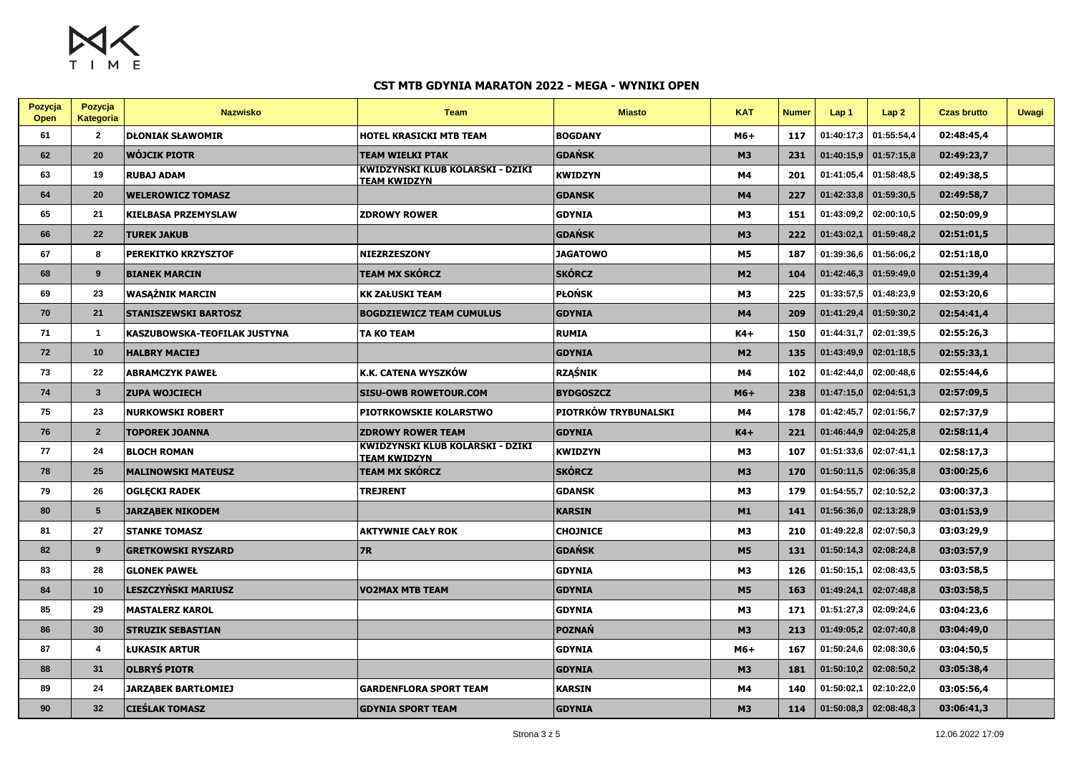$M<sub>2</sub>$ TIME

| Pozycja<br>Open | Pozycja<br>Kategoria    | <b>Nazwisko</b>              | <b>Team</b>                                             | <b>Miasto</b>        | <b>KAT</b> | <b>Numer</b> | Lap <sub>1</sub> | Lap2       | <b>Czas brutto</b> | <b>Uwagi</b> |
|-----------------|-------------------------|------------------------------|---------------------------------------------------------|----------------------|------------|--------------|------------------|------------|--------------------|--------------|
| 61              | $\overline{2}$          | <b>DŁONIAK SŁAWOMIR</b>      | <b>HOTEL KRASICKI MTB TEAM</b>                          | <b>BOGDANY</b>       | M6+        | 117          | 01:40:17,3       | 01:55:54,4 | 02:48:45,4         |              |
| 62              | 20                      | <b>WÓJCIK PIOTR</b>          | <b>TEAM WIELKI PTAK</b>                                 | <b>GDAŃSK</b>        | <b>M3</b>  | 231          | 01:40:15,9       | 01:57:15,8 | 02:49:23,7         |              |
| 63              | 19                      | <b>RUBAJ ADAM</b>            | KWIDZYNSKI KLUB KOLARSKI - DZIKI<br><b>TEAM KWIDZYN</b> | KWIDZYN              | M4         | 201          | 01:41:05,4       | 01:58:48.5 | 02:49:38.5         |              |
| 64              | 20                      | <b>WELEROWICZ TOMASZ</b>     |                                                         | <b>GDANSK</b>        | M4         | 227          | 01:42:33,8       | 01:59:30,5 | 02:49:58,7         |              |
| 65              | 21                      | <b>KIELBASA PRZEMYSLAW</b>   | <b>ZDROWY ROWER</b>                                     | <b>GDYNIA</b>        | М3         | 151          | 01:43:09,2       | 02:00:10.5 | 02:50:09,9         |              |
| 66              | 22                      | <b>TUREK JAKUB</b>           |                                                         | <b>GDAŃSK</b>        | <b>M3</b>  | 222          | 01:43:02,1       | 01:59:48,2 | 02:51:01,5         |              |
| 67              | 8                       | PEREKITKO KRZYSZTOF          | <b>NIEZRZESZONY</b>                                     | <b>JAGATOWO</b>      | <b>M5</b>  | 187          | 01:39:36,6       | 01:56:06,2 | 02:51:18,0         |              |
| 68              | 9                       | <b>BIANEK MARCIN</b>         | <b>TEAM MX SKÓRCZ</b>                                   | <b>SKÓRCZ</b>        | M2         | 104          | 01:42:46,3       | 01:59:49,0 | 02:51:39,4         |              |
| 69              | 23                      | <b>WASAŻNIK MARCIN</b>       | <b>KK ZAŁUSKI TEAM</b>                                  | <b>PŁOŃSK</b>        | <b>M3</b>  | 225          | 01:33:57,5       | 01:48:23,9 | 02:53:20,6         |              |
| 70              | 21                      | <b>STANISZEWSKI BARTOSZ</b>  | <b>BOGDZIEWICZ TEAM CUMULUS</b>                         | <b>GDYNIA</b>        | M4         | 209          | 01:41:29,4       | 01:59:30,2 | 02:54:41,4         |              |
| 71              | $\overline{\mathbf{1}}$ | KASZUBOWSKA-TEOFILAK JUSTYNA | <b>TA KO TEAM</b>                                       | <b>RUMIA</b>         | $K4+$      | 150          | 01:44:31.7       | 02:01:39.5 | 02:55:26.3         |              |
| 72              | 10                      | <b>HALBRY MACIEJ</b>         |                                                         | <b>GDYNIA</b>        | M2         | 135          | 01:43:49,9       | 02:01:18,5 | 02:55:33,1         |              |
| 73              | 22                      | <b>ABRAMCZYK PAWEŁ</b>       | K.K. CATENA WYSZKÓW                                     | <b>RZAŚNIK</b>       | M4         | 102          | 01:42:44,0       | 02:00:48,6 | 02:55:44,6         |              |
| 74              | $\overline{\mathbf{3}}$ | <b>ZUPA WOJCIECH</b>         | <b>SISU-OWB ROWETOUR.COM</b>                            | <b>BYDGOSZCZ</b>     | $M6+$      | 238          | 01:47:15,0       | 02:04:51,3 | 02:57:09,5         |              |
| 75              | 23                      | <b>NURKOWSKI ROBERT</b>      | PIOTRKOWSKIE KOLARSTWO                                  | PIOTRKÓW TRYBUNALSKI | Μ4         | 178          | 01:42:45,7       | 02:01:56,7 | 02:57:37,9         |              |
| 76              | $\overline{2}$          | TOPOREK JOANNA               | <b>ZDROWY ROWER TEAM</b>                                | <b>GDYNIA</b>        | $K4+$      | 221          | 01:46:44,9       | 02:04:25,8 | 02:58:11,4         |              |
| 77              | 24                      | <b>BLOCH ROMAN</b>           | KWIDZYNSKI KLUB KOLARSKI - DZIKI<br><u>TEAM KWIDZYN</u> | <b>KWIDZYN</b>       | <b>M3</b>  | 107          | 01:51:33,6       | 02:07:41,1 | 02:58:17,3         |              |
| 78              | 25                      | <b>MALINOWSKI MATEUSZ</b>    | <b>TEAM MX SKÓRCZ</b>                                   | <b>SKÓRCZ</b>        | <b>M3</b>  | 170          | 01:50:11,5       | 02:06:35,8 | 03:00:25,6         |              |
| 79              | 26                      | <b>OGLECKI RADEK</b>         | <b>TREJRENT</b>                                         | <b>GDANSK</b>        | <b>M3</b>  | 179          | 01:54:55,7       | 02:10:52,2 | 03:00:37,3         |              |
| 80              | $5\phantom{1}$          | <b>JARZĄBEK NIKODEM</b>      |                                                         | <b>KARSIN</b>        | M1         | 141          | 01:56:36,0       | 02:13:28,9 | 03:01:53,9         |              |
| 81              | 27                      | <b>STANKE TOMASZ</b>         | <b>AKTYWNIE CAŁY ROK</b>                                | <b>CHOJNICE</b>      | <b>M3</b>  | 210          | 01:49:22,8       | 02:07:50,3 | 03:03:29,9         |              |
| 82              | 9                       | <b>GRETKOWSKI RYSZARD</b>    | <b>7R</b>                                               | <b>GDAŃSK</b>        | M5         | 131          | 01:50:14,3       | 02:08:24,8 | 03:03:57,9         |              |
| 83              | 28                      | <b>GLONEK PAWEŁ</b>          |                                                         | <b>GDYNIA</b>        | <b>M3</b>  | 126          | 01:50:15,1       | 02:08:43,5 | 03:03:58,5         |              |
| 84              | 10                      | <b>LESZCZYŃSKI MARIUSZ</b>   | <b>VO2MAX MTB TEAM</b>                                  | <b>GDYNIA</b>        | <b>M5</b>  | 163          | 01:49:24.1       | 02:07:48.8 | 03:03:58,5         |              |
| 85              | 29                      | <b>MASTALERZ KAROL</b>       |                                                         | <b>GDYNIA</b>        | <b>M3</b>  | 171          | 01:51:27,3       | 02:09:24,6 | 03:04:23,6         |              |
| 86              | 30                      | <b>STRUZIK SEBASTIAN</b>     |                                                         | <b>POZNAŃ</b>        | <b>M3</b>  | 213          | 01:49:05,2       | 02:07:40,8 | 03:04:49,0         |              |
| 87              | $\overline{\bf{4}}$     | <b>ŁUKASIK ARTUR</b>         |                                                         | <b>GDYNIA</b>        | M6+        | 167          | 01:50:24,6       | 02:08:30,6 | 03:04:50,5         |              |
| 88              | 31                      | <b>OLBRYS PIOTR</b>          |                                                         | <b>GDYNIA</b>        | <b>M3</b>  | 181          | 01:50:10,2       | 02:08:50,2 | 03:05:38,4         |              |
| 89              | 24                      | <b>JARZABEK BARTŁOMIEJ</b>   | <b>GARDENFLORA SPORT TEAM</b>                           | KARSIN               | M4         | 140          | 01:50:02,1       | 02:10:22,0 | 03:05:56,4         |              |
| 90              | 32                      | <b>CIEŚLAK TOMASZ</b>        | <b>GDYNIA SPORT TEAM</b>                                | <b>GDYNIA</b>        | <b>M3</b>  | 114          | 01:50:08,3       | 02:08:48,3 | 03:06:41,3         |              |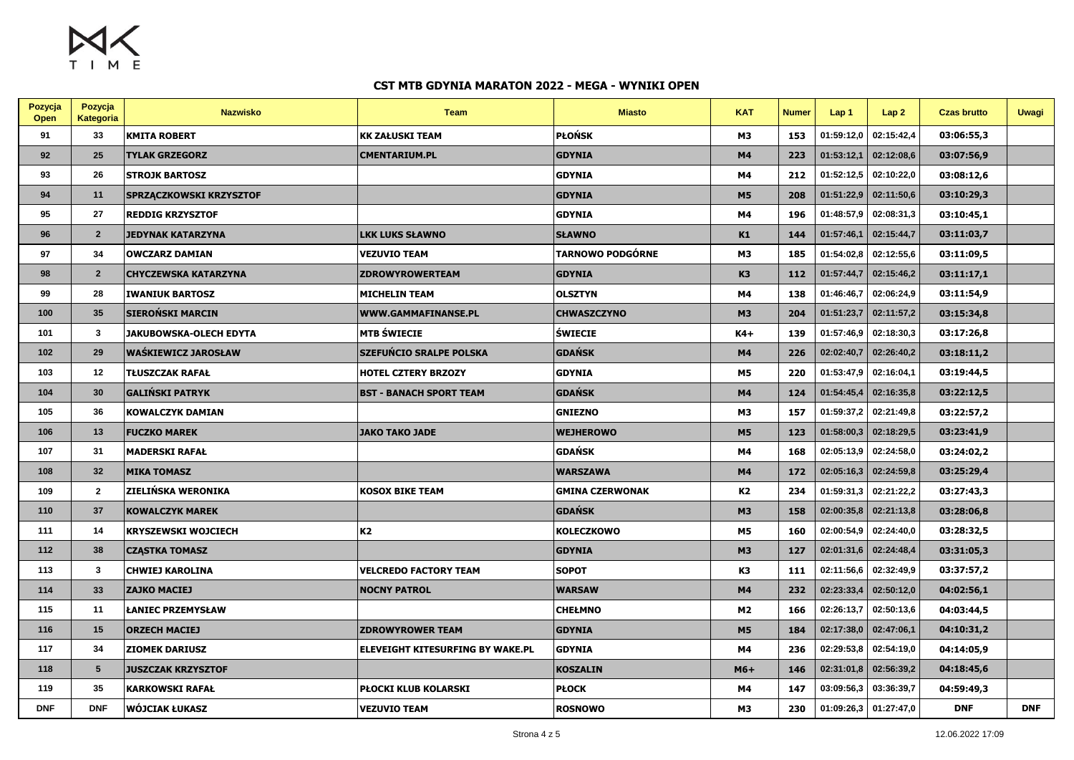

| Pozycja<br>Open | Pozycja<br>Kategoria | <b>Nazwisko</b>                | <b>Team</b>                      | <b>Miasto</b>          | <b>KAT</b>     | <b>Numer</b> | Lap <sub>1</sub> | Lap2       | <b>Czas brutto</b> | <b>Uwagi</b> |
|-----------------|----------------------|--------------------------------|----------------------------------|------------------------|----------------|--------------|------------------|------------|--------------------|--------------|
| 91              | 33                   | <b>KMITA ROBERT</b>            | <b>KK ZAŁUSKI TEAM</b>           | PŁOŃSK                 | M3             | 153          | 01:59:12,0       | 02:15:42,4 | 03:06:55,3         |              |
| 92              | 25                   | <b>TYLAK GRZEGORZ</b>          | <b>CMENTARIUM.PL</b>             | <b>GDYNIA</b>          | M4             | 223          | 01:53:12,1       | 02:12:08,6 | 03:07:56,9         |              |
| 93              | 26                   | <b>STROJK BARTOSZ</b>          |                                  | <b>GDYNIA</b>          | M4             | 212          | 01:52:12,5       | 02:10:22,0 | 03:08:12,6         |              |
| 94              | 11                   | <b>SPRZĄCZKOWSKI KRZYSZTOF</b> |                                  | <b>GDYNIA</b>          | <b>M5</b>      | 208          | 01:51:22.9       | 02:11:50,6 | 03:10:29,3         |              |
| 95              | 27                   | <b>REDDIG KRZYSZTOF</b>        |                                  | <b>GDYNIA</b>          | M4             | 196          | 01:48:57,9       | 02:08:31,3 | 03:10:45,1         |              |
| 96              | $\overline{2}$       | JEDYNAK KATARZYNA              | <b>LKK LUKS SŁAWNO</b>           | <b>SŁAWNO</b>          | K1             | 144          | 01:57:46,1       | 02:15:44,7 | 03:11:03,7         |              |
| 97              | 34                   | <b>OWCZARZ DAMIAN</b>          | <b>VEZUVIO TEAM</b>              | TARNOWO PODGÓRNE       | M3             | 185          | 01:54:02,8       | 02:12:55,6 | 03:11:09,5         |              |
| 98              | $\overline{2}$       | <b>CHYCZEWSKA KATARZYNA</b>    | <b>ZDROWYROWERTEAM</b>           | <b>GDYNIA</b>          | K <sub>3</sub> | 112          | 01:57:44,7       | 02:15:46,2 | 03:11:17,1         |              |
| 99              | 28                   | <b>IWANIUK BARTOSZ</b>         | <b>MICHELIN TEAM</b>             | <b>OLSZTYN</b>         | M4             | 138          | 01:46:46,7       | 02:06:24,9 | 03:11:54,9         |              |
| 100             | 35                   | <b>SIEROŃSKI MARCIN</b>        | <b>WWW.GAMMAFINANSE.PL</b>       | <b>CHWASZCZYNO</b>     | <b>M3</b>      | 204          | 01:51:23,7       | 02:11:57,2 | 03:15:34,8         |              |
| 101             | $\mathbf{3}$         | JAKUBOWSKA-OLECH EDYTA         | <b>MTB ŚWIECIE</b>               | <b>SWIECIE</b>         | $K4+$          | 139          | 01:57:46,9       | 02:18:30,3 | 03:17:26,8         |              |
| 102             | 29                   | <b>WAŚKIEWICZ JAROSŁAW</b>     | <b>SZEFUŃCIO SRALPE POLSKA</b>   | GDAŃSK                 | M4             | 226          | 02:02:40,7       | 02:26:40,2 | 03:18:11,2         |              |
| 103             | 12                   | <b>TŁUSZCZAK RAFAŁ</b>         | <b>HOTEL CZTERY BRZOZY</b>       | <b>GDYNIA</b>          | M5             | 220          | 01:53:47,9       | 02:16:04,1 | 03:19:44,5         |              |
| 104             | 30                   | GALIŃSKI PATRYK                | <b>BST - BANACH SPORT TEAM</b>   | GDAŃSK                 | M4             | 124          | 01:54:45,4       | 02:16:35,8 | 03:22:12,5         |              |
| 105             | 36                   | <b>KOWALCZYK DAMIAN</b>        |                                  | <b>GNIEZNO</b>         | M3             | 157          | 01:59:37,2       | 02:21:49.8 | 03:22:57,2         |              |
| 106             | 13                   | <b>FUCZKO MAREK</b>            | <b>JAKO TAKO JADE</b>            | WEJHEROWO              | <b>M5</b>      | 123          | 01:58:00,3       | 02:18:29,5 | 03:23:41,9         |              |
| 107             | 31                   | <b>MADERSKI RAFAŁ</b>          |                                  | <b>GDAŃSK</b>          | M4             | 168          | 02:05:13,9       | 02:24:58,0 | 03:24:02,2         |              |
| 108             | 32                   | <b>MIKA TOMASZ</b>             |                                  | <b>WARSZAWA</b>        | M4             | 172          | 02:05:16,3       | 02:24:59,8 | 03:25:29,4         |              |
| 109             | $\overline{2}$       | <b>ZIELIŃSKA WERONIKA</b>      | <b>KOSOX BIKE TEAM</b>           | <b>GMINA CZERWONAK</b> | K2             | 234          | 01:59:31,3       | 02:21:22,2 | 03:27:43,3         |              |
| 110             | 37                   | <b>KOWALCZYK MAREK</b>         |                                  | <b>GDAŃSK</b>          | <b>M3</b>      | 158          | 02:00:35,8       | 02:21:13,8 | 03:28:06,8         |              |
| 111             | 14                   | <b>KRYSZEWSKI WOJCIECH</b>     | K2                               | <b>KOLECZKOWO</b>      | M5             | 160          | 02:00:54,9       | 02:24:40,0 | 03:28:32,5         |              |
| 112             | 38                   | <b>CZĄSTKA TOMASZ</b>          |                                  | <b>GDYNIA</b>          | M <sub>3</sub> | 127          | 02:01:31,6       | 02:24:48,4 | 03:31:05,3         |              |
| 113             | $\mathbf{3}$         | <b>CHWIEJ KAROLINA</b>         | <b>VELCREDO FACTORY TEAM</b>     | <b>SOPOT</b>           | K <sub>3</sub> | 111          | 02:11:56,6       | 02:32:49,9 | 03:37:57,2         |              |
| 114             | 33                   | <b>ZAJKO MACIEJ</b>            | <b>NOCNY PATROL</b>              | WARSAW                 | M4             | 232          | 02:23:33,4       | 02:50:12,0 | 04:02:56,1         |              |
| 115             | 11                   | <b>LANIEC PRZEMYSŁAW</b>       |                                  | <b>CHEŁMNO</b>         | M2             | 166          | 02:26:13,7       | 02:50:13,6 | 04:03:44,5         |              |
| 116             | 15                   | <b>ORZECH MACIEJ</b>           | <b>ZDROWYROWER TEAM</b>          | <b>GDYNIA</b>          | <b>M5</b>      | 184          | 02:17:38,0       | 02:47:06,1 | 04:10:31,2         |              |
| 117             | 34                   | <b>ZIOMEK DARIUSZ</b>          | ELEVEIGHT KITESURFING BY WAKE.PL | <b>GDYNIA</b>          | M4             | 236          | 02:29:53,8       | 02:54:19,0 | 04:14:05,9         |              |
| 118             | 5                    | <b>JUSZCZAK KRZYSZTOF</b>      |                                  | <b>KOSZALIN</b>        | $M6+$          | 146          | 02:31:01.8       | 02:56:39,2 | 04:18:45,6         |              |
| 119             | 35                   | <b>KARKOWSKI RAFAŁ</b>         | PŁOCKI KLUB KOLARSKI             | PŁOCK                  | M4             | 147          | 03:09:56.3       | 03:36:39,7 | 04:59:49,3         |              |
| <b>DNF</b>      | <b>DNF</b>           | <b>WÓJCIAK ŁUKASZ</b>          | <b>VEZUVIO TEAM</b>              | <b>ROSNOWO</b>         | M <sub>3</sub> | 230          | 01:09:26,3       | 01:27:47,0 | <b>DNF</b>         | <b>DNF</b>   |